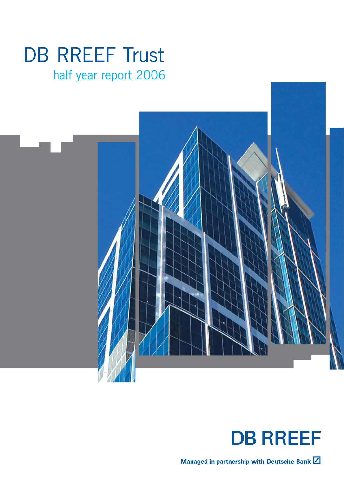# DB RREEF Trust

## half year report 2006



## **DB RREEF**

Managed in partnership with Deutsche Bank  $\boxed{Z}$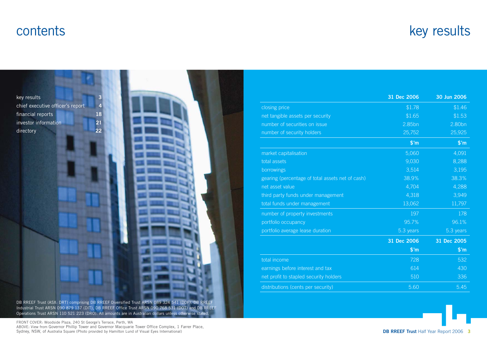## contents

## key results



DB RREEF Trust (ASX: DRT) comprising DB RREEF Diversified Trust ARSN 089 324 541 (DDF), DB RREEF Industrial Trust ARSN 090 879 137 (DIT), DB RREEF Office Trust ARSN 090 768 531 (DOT) and DB RREEF Operations Trust ARSN 110 521 223 (DRO). All amounts are in Australian dollars unless otherwise stated.

|                                                  | 31 Dec 2006    | 30 Jun 2006    |
|--------------------------------------------------|----------------|----------------|
| closing price                                    | \$1.78         | \$1.46         |
| net tangible assets per security                 | \$1.65         | \$1.53         |
| number of securities on issue                    | 2.85bn         | 2.80bn         |
| number of security holders                       | 25,752         | 25,925         |
|                                                  | $$^{\prime}$ m | $$^{\prime}$ m |
| market capitalisation                            | 5,060          | 4,091          |
| total assets                                     | 9,030          | 8,288          |
| borrowings                                       | 3,514          | 3,195          |
| gearing (percentage of total assets net of cash) | 38.9%          | 38.3%          |
| net asset value                                  | 4,704          | 4,288          |
| third party funds under management               | 4,318          | 3,949          |
| total funds under management                     | 13,062         | 11,797         |
| number of property investments                   | 197            | 178            |
| portfolio occupancy                              | 95.7%          | 96.1%          |
| portfolio average lease duration                 | 5.3 years      | 5.3 years      |
|                                                  | 31 Dec 2006    | 31 Dec 2005    |
|                                                  | $$^{\prime}$ m | $$^{\prime}$ m |
| total income                                     | 728            | 532            |
| earnings before interest and tax                 | 614            | 430            |
| net profit to stapled security holders           | 510            | 336            |
| distributions (cents per security)               | 5.60           | 5.45           |

**DB RREEF Trust** Half Year Report 2006 **3**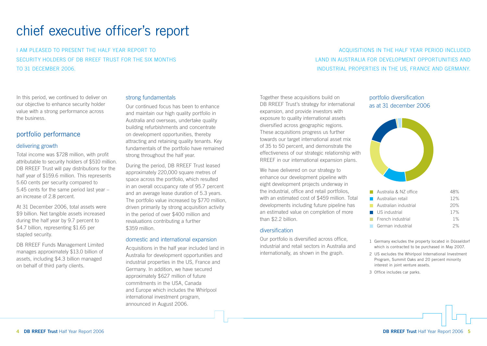## chief executive officer's report

I AM PLEASED TO PRESENT THE HALF YEAR REPORT TO SECURITY HOLDERS OF DB RREEF TRUST FOR THE SIX MONTHS TO 31 DECEMBER 2006.

ACQUISITIONS IN THE HALF YEAR PERIOD INCLUDED LAND IN AUSTRALIA FOR DEVELOPMENT OPPORTUNITIES AND INDUSTRIAL PROPERTIES IN THE US, FRANCE AND GERMANY.

In this period, we continued to deliver on our objective to enhance security holder value with a strong performance across the business.

### portfolio performance

#### delivering growth

Total income was \$728 million, with profit attributable to security holders of \$510 million. DB RREEF Trust will pay distributions for the half year of \$159.6 million. This represents 5.60 cents per security compared to 5.45 cents for the same period last year – an increase of 2.8 percent.

At 31 December 2006, total assets were \$9 billion. Net tangible assets increased during the half year by 9.7 percent to \$4.7 billion, representing \$1.65 per stapled security.

DB RREEF Funds Management Limited manages approximately \$13.0 billion of assets, including \$4.3 billion managed on behalf of third party clients.

### strong fundamentals

Our continued focus has been to enhance and maintain our high quality portfolio in Australia and overseas, undertake quality building refurbishments and concentrate on development opportunities, thereby attracting and retaining quality tenants. Key fundamentals of the portfolio have remained strong throughout the half year.

During the period, DB RREEF Trust leased approximately 220,000 square metres of space across the portfolio, which resulted in an overall occupancy rate of 95.7 percent and an average lease duration of 5.3 years. The portfolio value increased by \$770 million, driven primarily by strong acquisition activity in the period of over \$400 million and revaluations contributing a further \$359 million.

#### domestic and international expansion

Acquisitions in the half year included land in Australia for development opportunities and industrial properties in the US, France and Germany. In addition, we have secured approximately \$627 million of future commitments in the USA, Canada and Europe which includes the Whirlpool international investment program, announced in August 2006.

Together these acquisitions build on DB RREEF Trust's strategy for international expansion, and provide investors with exposure to quality international assets diversified across geographic regions. These acquisitions progress us further towards our target international asset mix of 35 to 50 percent, and demonstrate the effectiveness of our strategic relationship with RREEF in our international expansion plans.

We have delivered on our strategy to enhance our development pipeline with eight development projects underway in the industrial, office and retail portfolios, with an estimated cost of \$459 million. Total developments including future pipeline has an estimated value on completion of more than \$2.2 billion

#### diversification

Our portfolio is diversified across office, industrial and retail sectors in Australia and internationally, as shown in the graph.

### portfolio diversification as at 31 december 2006



| n.              | Australia & NZ office            | 18% |
|-----------------|----------------------------------|-----|
|                 | Australian retail                | 12% |
| <b>Contract</b> | Australian industrial            | 20% |
|                 | $\blacksquare$ US industrial     | 17% |
|                 | $\blacksquare$ French industrial | 1%  |
|                 | German industrial                | 2%  |
|                 |                                  |     |

- 1 Germany excludes the property located in Düsseldorf which is contracted to be purchased in May 2007.
- 2 US excludes the Whirlpool International Investment Program, Summit Oaks and 20 percent minority interest in joint venture assets.
- 3 Office includes car parks.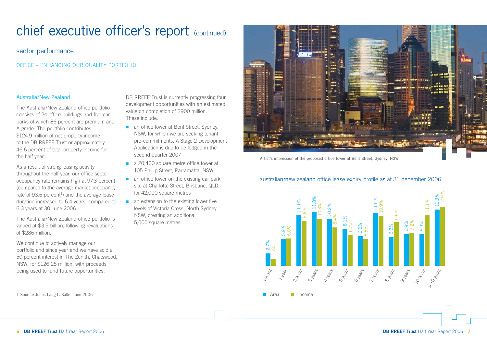### sector performance

OFFICE – ENHANCING OUR QUALITY PORTFOLIO

### Australia/New Zealand

The Australia/New Zealand office portfolio consists of 24 office buildings and five car parks of which 86 percent are premium and A-grade. The portfolio contributes \$124.9 million of net property income to the DB RREEF Trust or approximately 46.6 percent of total property income for the half year.

As a result of strong leasing activity throughout the half year, our office sector occupancy rate remains high at 97.3 percent (compared to the average market occupancy rate of  $93.6$  percent<sup>1</sup>) and the average lease duration increased to 6.4 years, compared to 6.3 years at 30 June 2006.

The Australia/New Zealand office portfolio is valued at \$3.9 billion, following revaluations of \$286 million.

We continue to actively manage our portfolio and since year end we have sold a 50 percent interest in The Zenith, Chatswood, NSW, for \$126.25 million, with proceeds being used to fund future opportunities.

1 Source: Jones Lang LaSalle, June 2006

DB RREEF Trust is currently progressing four development opportunities with an estimated value on completion of \$900 million. These include:

- an office tower at Bent Street, Sydney, NSW, for which we are seeking tenant pre-commitments. A Stage 2 Development Application is due to be lodged in the second quarter 2007
- a 20,400 square metre office tower at 105 Phillip Street, Parramatta, NSW
- $\blacksquare$  an office tower on the existing car park site at Charlotte Street, Brisbane, QLD, for 42,000 square metres
- $\blacksquare$  an extension to the existing lower five levels of Victoria Cross, North Sydney, NSW, creating an additional 5,000 square metres



Artist's impression of the proposed office tower at Bent Street, Sydney, NSW

### australian/new zealand office lease expiry profile as at 31 december 2006

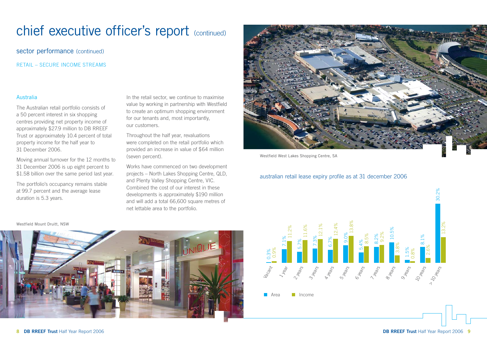sector performance (continued)

RETAIL – SECURE INCOME STREAMS

### Australia

The Australian retail portfolio consists of a 50 percent interest in six shopping centres providing net property income of approximately \$27.9 million to DB RREEF Trust or approximately 10.4 percent of total property income for the half year to 31 December 2006.

Moving annual turnover for the 12 months to 31 December 2006 is up eight percent to \$1.58 billion over the same period last year.

The portfolio's occupancy remains stable at 99.7 percent and the average lease duration is 5.3 years.

In the retail sector, we continue to maximise value by working in partnership with Westfield to create an optimum shopping environment for our tenants and, most importantly, our customers.

Throughout the half year, revaluations were completed on the retail portfolio which provided an increase in value of \$64 million (seven percent).

Works have commenced on two development projects – North Lakes Shopping Centre, QLD, and Plenty Valley Shopping Centre, VIC. Combined the cost of our interest in these developments is approximately \$190 million and will add a total 66,600 square metres of net lettable area to the portfolio.



Westfield West Lakes Shopping Centre, SA

### australian retail lease expiry profile as at 31 december 2006



#### Westfield Mount Druitt, NSW

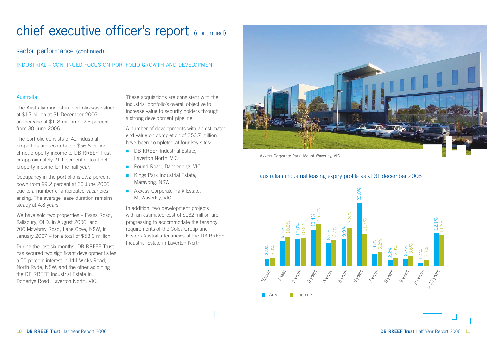### sector performance (continued)

INDUSTRIAL – CONTINUED FOCUS ON PORTFOLIO GROWTH AND DEVELOPMENT

### Australia

The Australian industrial portfolio was valued at \$1.7 billion at 31 December 2006, an increase of \$118 million or 7.5 percent from 30 June 2006.

The portfolio consists of 41 industrial properties and contributed \$56.6 million of net property income to DB RREEF Trust or approximately 21.1 percent of total net property income for the half year.

Occupancy in the portfolio is 97.2 percent down from 99.2 percent at 30 June 2006 due to a number of anticipated vacancies arising. The average lease duration remains steady at 4.8 years.

We have sold two properties – Evans Road, Salisbury, QLD, in August 2006, and 706 Mowbray Road, Lane Cove, NSW, in January 2007 – for a total of \$53.3 million.

During the last six months, DB RREEF Trust has secured two significant development sites, a 50 percent interest in 144 Wicks Road, North Ryde, NSW, and the other adjoining the DB RREEF Industrial Estate in Dohertys Road, Laverton North, VIC.

These acquisitions are consistent with the industrial portfolio's overall objective to increase value to security holders through a strong development pipeline.

A number of developments with an estimated end value on completion of \$56.7 million have been completed at four key sites:

- **DB RREEF Industrial Estate,** Laverton North, VIC
- **Pound Road, Dandenong, VIC**
- **Kings Park Industrial Estate,** Marayong, NSW
- **Axxess Corporate Park Estate,** Mt Waverley, VIC

In addition, two development projects with an estimated cost of \$132 million are progressing to accommodate the tenancy requirements of the Coles Group and Fosters Australia tenancies at the DB RREEF Industrial Estate in Laverton North.



Axxess Corporate Park, Mount Waverley, VIC

### australian industrial leasing expiry profile as at 31 december 2006

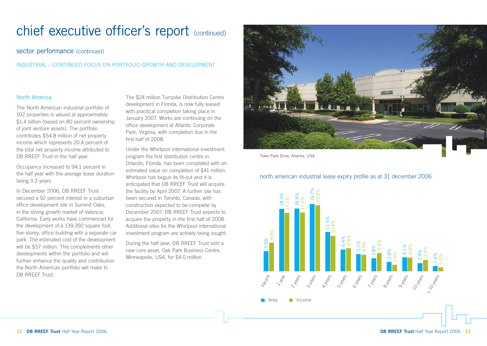### sector performance (continued)

INDUSTRIAL – CONTINUED FOCUS ON PORTFOLIO GROWTH AND DEVELOPMENT

### North America

The North American industrial portfolio of 102 properties is valued at approximately \$1.4 billion (based on 80 percent ownership of joint venture assets). The portfolio contributes \$54.8 million of net property income which represents 20.4 percent of the total net property income attributed to DB RREEF Trust in the half year.

Occupancy increased to 94.1 percent in the half year with the average lease duration being 3.3 years.

In December 2006, DB RREEF Trust secured a 92 percent interest in a suburban office development site in Summit Oaks, in the strong growth market of Valencia, California. Early works have commenced for the development of a 139,392 square foot, five-storey, office building with a separate car park. The estimated cost of the development will be \$57 million. This complements other developments within the portfolio and will further enhance the quality and contribution the North American portfolio will make to DB RREEF Trust.

The \$24 million Turnpike Distribution Centre development in Florida, is now fully leased with practical completion taking place in January 2007. Works are continuing on the office development at Atlantic Corporate Park, Virginia, with completion due in the first half of 2008.

Under the Whirlpool international investment program the first distribution centre in Orlando, Florida, has been completed with an estimated value on completion of \$41 million. Whirlpool has begun its fit-out and it is anticipated that DB RREEF Trust will acquire the facility by April 2007. A further site has been secured in Toronto, Canada, with construction expected to be complete by December 2007. DB RREEF Trust expects to acquire the property in the first half of 2008. Additional sites for the Whirlpool international investment program are actively being sought.

During the half year, DB RREEF Trust sold a new core asset, Oak Park Business Centre, Minneapolis, USA, for \$4.0 million.



Town Park Drive, Atlanta, USA

north american industrial lease expiry profile as at 31 december 2006

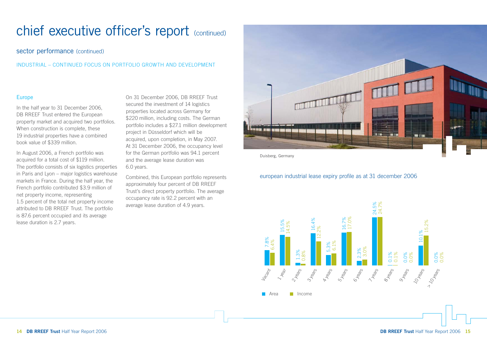### sector performance (continued)

INDUSTRIAL – CONTINUED FOCUS ON PORTFOLIO GROWTH AND DEVELOPMENT

### Europe

In the half year to 31 December 2006, DB RREEF Trust entered the European property market and acquired two portfolios. When construction is complete, these 19 industrial properties have a combined book value of \$339 million.

In August 2006, a French portfolio was acquired for a total cost of \$119 million. The portfolio consists of six logistics properties in Paris and Lyon – major logistics warehouse markets in France. During the half year, the French portfolio contributed \$3.9 million of net property income, representing 1.5 percent of the total net property income attributed to DB RREEF Trust. The portfolio is 87.6 percent occupied and its average lease duration is 2.7 years.

On 31 December 2006, DB RREEF Trust secured the investment of 14 logistics properties located across Germany for \$220 million, including costs. The German portfolio includes a \$27.1 million development project in Düsseldorf which will be acquired, upon completion, in May 2007. At 31 December 2006, the occupancy level for the German portfolio was 94.1 percent and the average lease duration was 6.0 years.

Combined, this European portfolio represents approximately four percent of DB RREEF Trust's direct property portfolio. The average occupancy rate is 92.2 percent with an average lease duration of 4.9 years.



Duisberg, Germany

### european industrial lease expiry profile as at 31 december 2006

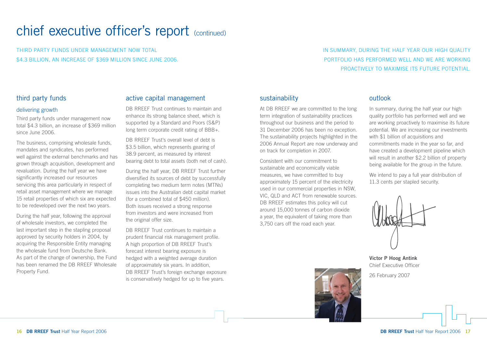THIRD PARTY FUNDS UNDER MANAGEMENT NOW TOTAL \$4.3 BILLION, AN INCREASE OF \$369 MILLION SINCE JUNE 2006. IN SUMMARY, DURING THE HALF YEAR OUR HIGH QUALITY PORTFOLIO HAS PERFORMED WELL AND WE ARE WORKING PROACTIVELY TO MAXIMISE ITS FUTURE POTENTIAL.

## third party funds

### delivering growth

Third party funds under management now total \$4.3 billion, an increase of \$369 million since June 2006.

The business, comprising wholesale funds, mandates and syndicates, has performed well against the external benchmarks and has grown through acquisition, development and revaluation. During the half year we have significantly increased our resources servicing this area particularly in respect of retail asset management where we manage 15 retail properties of which six are expected to be redeveloped over the next two years.

During the half year, following the approval of wholesale investors, we completed the last important step in the stapling proposal approved by security holders in 2004, by acquiring the Responsible Entity managing the wholesale fund from Deutsche Bank. As part of the change of ownership, the Fund has been renamed the DB RREEF Wholesale Property Fund.

### active capital management

DB RREEF Trust continues to maintain and enhance its strong balance sheet, which is supported by a Standard and Poors (S&P) long term corporate credit rating of BBB+.

DB RRFFF Trust's overall level of debt is \$3.5 billion, which represents gearing of 38.9 percent, as measured by interest bearing debt to total assets (both net of cash).

During the half year, DB RREEF Trust further diversified its sources of debt by successfully completing two medium term notes (MTNs) issues into the Australian debt capital market (for a combined total of \$450 million). Both issues received a strong response from investors and were increased from the original offer size.

DB RREEF Trust continues to maintain a prudent financial risk management profile. A high proportion of DB RREEF Trust's forecast interest bearing exposure is hedged with a weighted average duration of approximately six years. In addition, DB RREEF Trust's foreign exchange exposure is conservatively hedged for up to five years.

## sustainability

At DB RREEF we are committed to the long term integration of sustainability practices throughout our business and the period to 31 December 2006 has been no exception. The sustainability projects highlighted in the 2006 Annual Report are now underway and on track for completion in 2007.

Consistent with our commitment to sustainable and economically viable measures, we have committed to buy approximately 15 percent of the electricity used in our commercial properties in NSW, VIC, QLD and ACT from renewable sources. DB RREEF estimates this policy will cut around 15,000 tonnes of carbon dioxide a year, the equivalent of taking more than 3,750 cars off the road each year.

### outlook

In summary, during the half year our high quality portfolio has performed well and we are working proactively to maximise its future potential. We are increasing our investments with \$1 billion of acquisitions and commitments made in the year so far, and have created a development pipeline which will result in another \$2.2 billion of property being available for the group in the future.

We intend to pay a full year distribution of 11.3 cents per stapled security.



**Victor P Hoog Antink** Chief Executive Officer

26 February 2007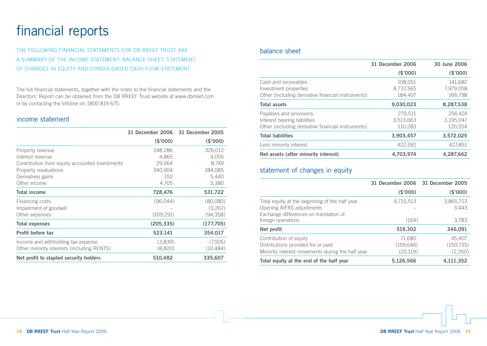## financial reports

THE FOLLOWING FINANCIAL STATEMENTS FOR DB RREEF TRUST ARE A SUMMARY OF THE INCOME STATEMENT, BALANCE SHEET, STATEMENT OF CHANGES IN EQUITY AND CONSOLIDATED CASH FLOW STATEMENT.

The full financial statements, together with the notes to the financial statements and the Directors' Report can be obtained from the DB RREEF Trust website at www.dbrreef.com or by contacting the Infoline on 1800 819 675.

### income statement

|                                                | 31 December 2006 | 31 December 2005 |
|------------------------------------------------|------------------|------------------|
|                                                | (\$'000)         | (\$'000)         |
| Property revenue                               | 348,286          | 326,012          |
| Interest revenue                               | 4,865            | 4,056            |
| Contribution from equity accounted investments | 29,564           | 8,749            |
| Property revaluations                          | 340,904          | 184,085          |
| Derivatives gains                              | 152              | 5,440            |
| Other income                                   | 4,705            | 3,380            |
| <b>Total income</b>                            | 728,476          | 531,722          |
| Financing costs                                | (96,044)         | (80,080)         |
| Impairment of goodwill                         |                  | (3,267)          |
| Other expenses                                 | (109, 291)       | (94, 358)        |
| <b>Total expenses</b>                          | (205, 335)       | (177,705)        |
| Profit before tax                              | 523,141          | 354,017          |
| Income and withholding tax expense             | (3,839)          | (7,926)          |
| Other minority interests (including RENTS)     | (8,820)          | (10, 484)        |
| Net profit to stapled security holders         | 510,482          | 335,607          |

### balance sheet

|                                                                                                               | 31 December 2006                | 30 June 2006                    |
|---------------------------------------------------------------------------------------------------------------|---------------------------------|---------------------------------|
|                                                                                                               | (\$'000)                        | (\$'000)                        |
| Cash and receivables<br>Investment properties<br>Other (including derivative financial instruments)           | 108.051<br>8,737,565<br>184,407 | 141.682<br>7,979,058<br>166,798 |
| <b>Total assets</b>                                                                                           | 9,030,023                       | 8,287,538                       |
| Payables and provisions<br>Interest bearing liabilities<br>Other (including derivative financial instruments) | 279.511<br>3,513,663<br>110,283 | 256.424<br>3,195,047<br>120,554 |
| <b>Total liabilities</b>                                                                                      | 3,903,457                       | 3,572,025                       |
| Less minority interest                                                                                        | 422,592                         | 427,851                         |
| Net assets (after minority interest)                                                                          | 4,703,974                       | 4,287,662                       |

## statement of changes in equity

|                                                                                                                       | 31 December 2006 31 December 2005 |                                 |
|-----------------------------------------------------------------------------------------------------------------------|-----------------------------------|---------------------------------|
|                                                                                                                       | (\$'000)                          | (\$'000)                        |
| Total equity at the beginning of the half year<br>Opening AIFRS adjustments<br>Exchange differences on translation of | 4,715,513                         | 3,865,713<br>3,443              |
| foreign operations                                                                                                    | (164)                             | 3,783                           |
| Net profit                                                                                                            | 519,302                           | 346,091                         |
| Contribution of equity<br>Distributions provided for or paid<br>Minority interest movements during the half year      | 71,680<br>(159, 646)<br>(20, 119) | 45,407<br>(150, 735)<br>(2,350) |
| Total equity at the end of the half year                                                                              | 5,126,566                         | 4,111,352                       |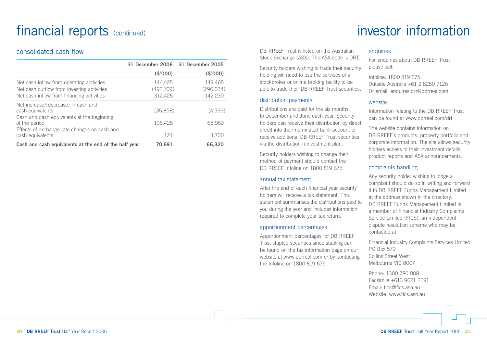## financial reports (continued)

### consolidated cash flow

|                                                                                                                                      | 31 December 2006 31 December 2005 |                                  |
|--------------------------------------------------------------------------------------------------------------------------------------|-----------------------------------|----------------------------------|
|                                                                                                                                      | (\$'000)                          | (\$'000)                         |
| Net cash inflow from operating activities<br>Net cash outflow from investing activities<br>Net cash inflow from financing activities | 144,425<br>(492,709)<br>312,426   | 149,465<br>(296, 034)<br>142,230 |
| Net increase/(decrease) in cash and<br>cash equivalents<br>Cash and cash equivalents at the beginning                                | (35,858)                          | (4,339)                          |
| of the period<br>Effects of exchange rate changes on cash and                                                                        | 106.428                           | 68,959                           |
| cash equivalents                                                                                                                     | 121                               | 1,700                            |
| Cash and cash equivalents at the end of the half year                                                                                | 70,691                            | 66,320                           |

## investor information

DB RREEF Trust is listed on the Australian Stock Exchange (ASX). The ASX code is DRT.

Security holders wishing to trade their security holding will need to use the services of a stockbroker or online broking facility to be able to trade their DB RREEF Trust securities.

### distribution payments

Distributions are paid for the six months to December and June each year. Security holders can receive their distribution by direct credit into their nominated bank account or receive additional DB RREEF Trust securities via the distribution reinvestment plan.

Security holders wishing to change their method of payment should contact the DB RREEF Infoline on 1800 819 675.

### annual tax statement

After the end of each financial year security holders will receive a tax statement. This statement summarises the distributions paid to you during the year and includes information required to complete your tax return.

### apportionment percentages

Apportionment percentages for DB RREEF Trust stapled securities since stapling can be found on the tax information page on our website at www.dbrreef.com or by contacting the Infoline on 1800 819 675.

#### enquiries

For enquiries about DB RREEF Trust please call:

Infoline: 1800 819 675 Outside Australia +61 2 8280 7126 Or email: enquires.drt@dbrreef.com

#### website

Information relating to the DB RREEF Trust can be found at www.dbrreef.com/drt

The website contains information on DB RREEF's products, property portfolio and corporate information. The site allows security holders access to their investment details, product reports and ASX announcements.

### complaints handling

Any security holder wishing to lodge a complaint should do so in writing and forward it to DB RREEF Funds Management Limited at the address shown in the directory. DB RREEF Funds Management Limited is a member of Financial Industry Complaints Service Limited (FICS), an independent dispute resolution scheme who may be contacted at:

Financial Industry Complaints Services Limited PO Box 579 Collins Street West Melbourne VIC 8007

Phone: 1300 780 808 Facsimile +613 9621 2291 Email: fics@fics.asn.au Website: www.fics.asn.au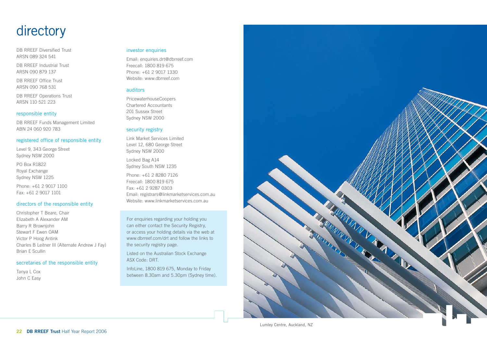## directory

DB RREEF Diversified Trust ARSN 089 324 541

DB RREEF Industrial Trust ARSN 090 879 137

DB RREEF Office Trust ARSN 090 768 531

DB RREEF Operations Trust ARSN 110 521 223

#### responsible entity

DB RREEF Funds Management Limited ABN 24 060 920 783

#### registered office of responsible entity

Level 9, 343 George Street Sydney NSW 2000

PO Box R1822 Royal Exchange Sydney NSW 1225

Phone: +61 2 9017 1100 Fax: +61 2 9017 1101

#### directors of the responsible entity

Christopher T Beare, Chair Elizabeth A Alexander AM Barry R Brownjohn Stewart F Ewen OAM Victor P Hoog Antink Charles B Leitner III (Alternate Andrew J Fay) Brian E Scullin

#### secretaries of the responsible entity

Tanya L Cox John C Easy

#### investor enquiries

Email: enquiries.drt@dbrreef.com Freecall: 1800 819 675 Phone: +61 2 9017 1330 Website: www.dbrreef.com

#### auditors

PricewaterhouseCoopers Chartered Accountants 201 Sussex Street Sydney NSW 2000

#### security registry

Link Market Services Limited Level 12, 680 George Street Sydney NSW 2000

Locked Bag A14 Sydney South NSW 1235

Phone: +61 2 8280 7126 Freecall: 1800 819 675 Fax: +61 2 9287 0303 Email: registrars@linkmarketservices.com.au Website: www.linkmarketservices.com.au

For enquiries regarding your holding you can either contact the Security Registry, or access your holding details via the web at www.dbrreef.com/drt and follow the links to the security registry page.

Listed on the Australian Stock Exchange ASX Code: DRT.

InfoLine, 1800 819 675, Monday to Friday between 8.30am and 5.30pm (Sydney time).